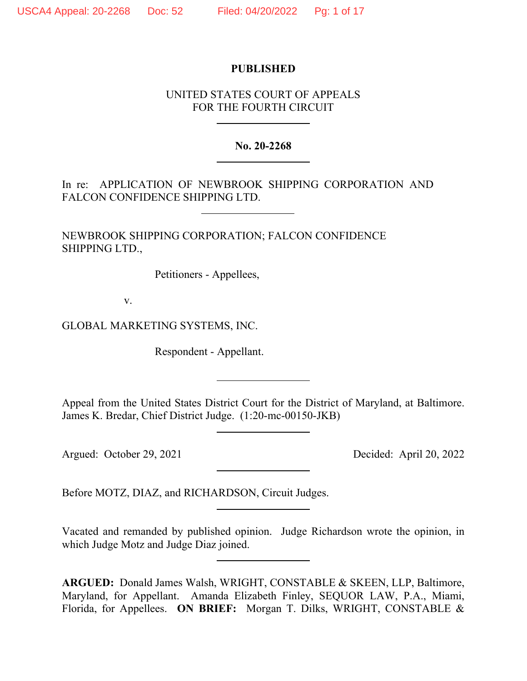# **PUBLISHED**

# UNITED STATES COURT OF APPEALS FOR THE FOURTH CIRCUIT

**No. 20-2268**

In re: APPLICATION OF NEWBROOK SHIPPING CORPORATION AND FALCON CONFIDENCE SHIPPING LTD.

NEWBROOK SHIPPING CORPORATION; FALCON CONFIDENCE SHIPPING LTD.,

Petitioners - Appellees,

v.

GLOBAL MARKETING SYSTEMS, INC.

Respondent - Appellant.

Appeal from the United States District Court for the District of Maryland, at Baltimore. James K. Bredar, Chief District Judge. (1:20-mc-00150-JKB)

Argued: October 29, 2021 Decided: April 20, 2022

Before MOTZ, DIAZ, and RICHARDSON, Circuit Judges.

Vacated and remanded by published opinion. Judge Richardson wrote the opinion, in which Judge Motz and Judge Diaz joined.

**ARGUED:** Donald James Walsh, WRIGHT, CONSTABLE & SKEEN, LLP, Baltimore, Maryland, for Appellant. Amanda Elizabeth Finley, SEQUOR LAW, P.A., Miami, Florida, for Appellees. **ON BRIEF:** Morgan T. Dilks, WRIGHT, CONSTABLE &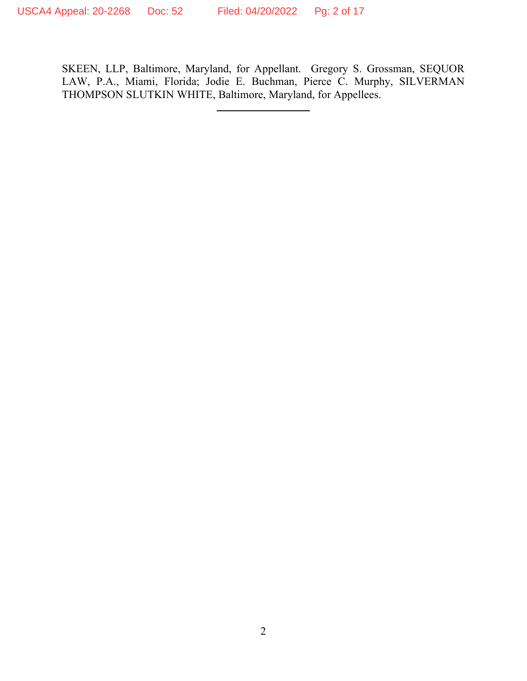SKEEN, LLP, Baltimore, Maryland, for Appellant. Gregory S. Grossman, SEQUOR LAW, P.A., Miami, Florida; Jodie E. Buchman, Pierce C. Murphy, SILVERMAN THOMPSON SLUTKIN WHITE, Baltimore, Maryland, for Appellees.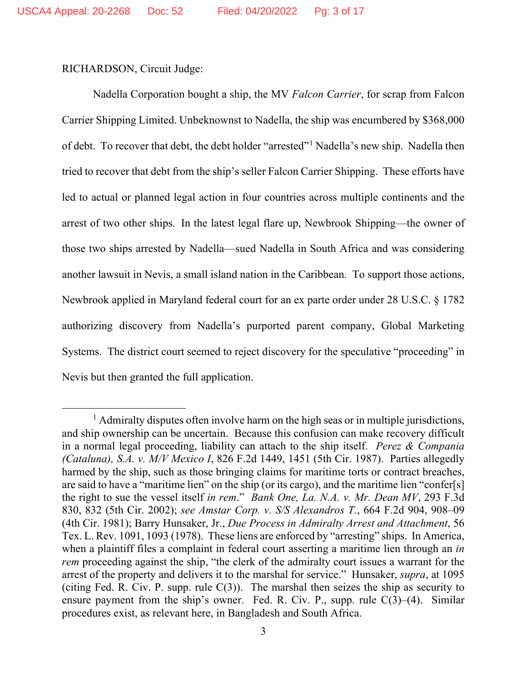RICHARDSON, Circuit Judge:

Nadella Corporation bought a ship, the MV *Falcon Carrier*, for scrap from Falcon Carrier Shipping Limited. Unbeknownst to Nadella, the ship was encumbered by \$368,000 of debt. To recover that debt, the debt holder "arrested"<sup>[1](#page-2-0)</sup> Nadella's new ship. Nadella then tried to recover that debt from the ship's seller Falcon Carrier Shipping. These efforts have led to actual or planned legal action in four countries across multiple continents and the arrest of two other ships. In the latest legal flare up, Newbrook Shipping—the owner of those two ships arrested by Nadella—sued Nadella in South Africa and was considering another lawsuit in Nevis, a small island nation in the Caribbean. To support those actions, Newbrook applied in Maryland federal court for an ex parte order under 28 U.S.C. § 1782 authorizing discovery from Nadella's purported parent company, Global Marketing Systems. The district court seemed to reject discovery for the speculative "proceeding" in Nevis but then granted the full application.

<span id="page-2-0"></span> $<sup>1</sup>$  Admiralty disputes often involve harm on the high seas or in multiple jurisdictions,</sup> and ship ownership can be uncertain. Because this confusion can make recovery difficult in a normal legal proceeding, liability can attach to the ship itself. *Perez & Compania (Cataluna), S.A. v. M/V Mexico I*, 826 F.2d 1449, 1451 (5th Cir. 1987). Parties allegedly harmed by the ship, such as those bringing claims for maritime torts or contract breaches, are said to have a "maritime lien" on the ship (or its cargo), and the maritime lien "confer[s] the right to sue the vessel itself *in rem*." *Bank One, La. N.A. v. Mr. Dean MV*, 293 F.3d 830, 832 (5th Cir. 2002); *see Amstar Corp. v. S/S Alexandros T.*, 664 F.2d 904, 908–09 (4th Cir. 1981); Barry Hunsaker, Jr., *Due Process in Admiralty Arrest and Attachment*, 56 Tex. L. Rev. 1091, 1093 (1978). These liens are enforced by "arresting" ships. In America, when a plaintiff files a complaint in federal court asserting a maritime lien through an *in rem* proceeding against the ship, "the clerk of the admiralty court issues a warrant for the arrest of the property and delivers it to the marshal for service." Hunsaker, *supra*, at 1095 (citing Fed. R. Civ. P. supp. rule  $C(3)$ ). The marshal then seizes the ship as security to ensure payment from the ship's owner. Fed. R. Civ. P., supp. rule  $C(3)$ –(4). Similar procedures exist, as relevant here, in Bangladesh and South Africa.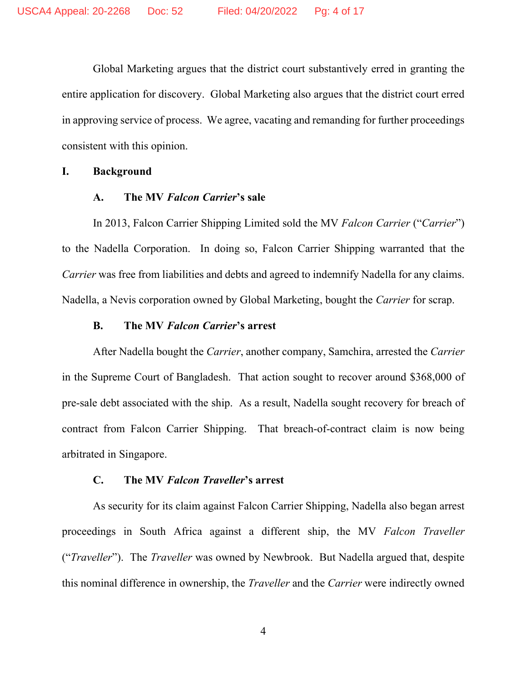Global Marketing argues that the district court substantively erred in granting the entire application for discovery. Global Marketing also argues that the district court erred in approving service of process. We agree, vacating and remanding for further proceedings consistent with this opinion.

### **I. Background**

### **A. The MV** *Falcon Carrier***'s sale**

In 2013, Falcon Carrier Shipping Limited sold the MV *Falcon Carrier* ("*Carrier*") to the Nadella Corporation. In doing so, Falcon Carrier Shipping warranted that the *Carrier* was free from liabilities and debts and agreed to indemnify Nadella for any claims. Nadella, a Nevis corporation owned by Global Marketing, bought the *Carrier* for scrap.

#### **B. The MV** *Falcon Carrier***'s arrest**

After Nadella bought the *Carrier*, another company, Samchira, arrested the *Carrier* in the Supreme Court of Bangladesh. That action sought to recover around \$368,000 of pre-sale debt associated with the ship. As a result, Nadella sought recovery for breach of contract from Falcon Carrier Shipping. That breach-of-contract claim is now being arbitrated in Singapore.

### **C. The MV** *Falcon Traveller***'s arrest**

As security for its claim against Falcon Carrier Shipping, Nadella also began arrest proceedings in South Africa against a different ship, the MV *Falcon Traveller* ("*Traveller*"). The *Traveller* was owned by Newbrook. But Nadella argued that, despite this nominal difference in ownership, the *Traveller* and the *Carrier* were indirectly owned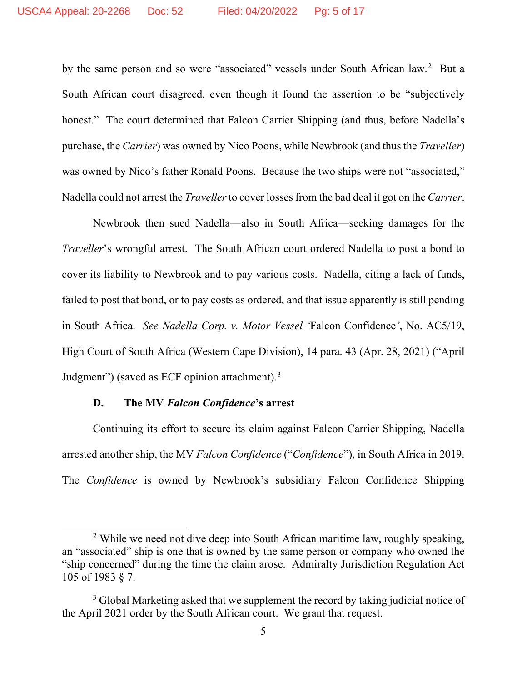by the same person and so were "associated" vessels under South African law.<sup>[2](#page-4-0)</sup> But a South African court disagreed, even though it found the assertion to be "subjectively honest." The court determined that Falcon Carrier Shipping (and thus, before Nadella's purchase, the *Carrier*) was owned by Nico Poons, while Newbrook (and thus the *Traveller*) was owned by Nico's father Ronald Poons. Because the two ships were not "associated," Nadella could not arrest the *Traveller* to cover losses from the bad deal it got on the *Carrier*.

Newbrook then sued Nadella—also in South Africa—seeking damages for the *Traveller*'s wrongful arrest. The South African court ordered Nadella to post a bond to cover its liability to Newbrook and to pay various costs. Nadella, citing a lack of funds, failed to post that bond, or to pay costs as ordered, and that issue apparently is still pending in South Africa. *See Nadella Corp. v. Motor Vessel '*Falcon Confidence*'*, No. AC5/19, High Court of South Africa (Western Cape Division), 14 para. 43 (Apr. 28, 2021) ("April Judgment") (saved as ECF opinion attachment).<sup>[3](#page-4-1)</sup>

### **D. The MV** *Falcon Confidence***'s arrest**

Continuing its effort to secure its claim against Falcon Carrier Shipping, Nadella arrested another ship, the MV *Falcon Confidence* ("*Confidence*"), in South Africa in 2019. The *Confidence* is owned by Newbrook's subsidiary Falcon Confidence Shipping

<span id="page-4-0"></span><sup>&</sup>lt;sup>2</sup> While we need not dive deep into South African maritime law, roughly speaking, an "associated" ship is one that is owned by the same person or company who owned the "ship concerned" during the time the claim arose. Admiralty Jurisdiction Regulation Act 105 of 1983 § 7.

<span id="page-4-1"></span><sup>&</sup>lt;sup>3</sup> Global Marketing asked that we supplement the record by taking judicial notice of the April 2021 order by the South African court. We grant that request.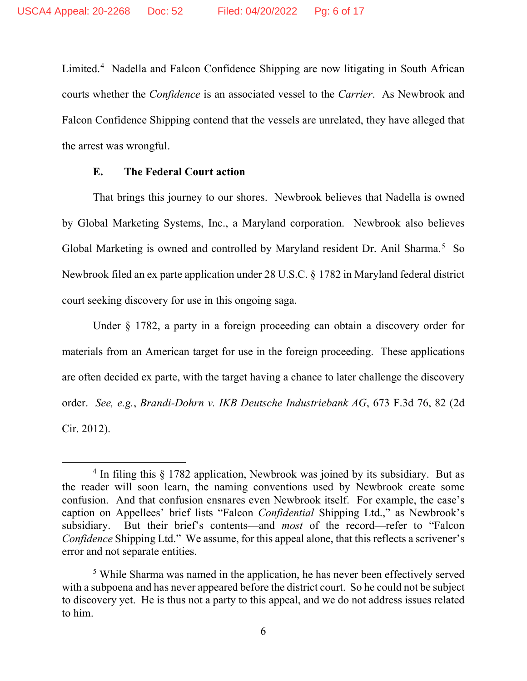Limited. [4](#page-5-0) Nadella and Falcon Confidence Shipping are now litigating in South African courts whether the *Confidence* is an associated vessel to the *Carrier*. As Newbrook and Falcon Confidence Shipping contend that the vessels are unrelated, they have alleged that the arrest was wrongful.

## **E. The Federal Court action**

That brings this journey to our shores. Newbrook believes that Nadella is owned by Global Marketing Systems, Inc., a Maryland corporation. Newbrook also believes Global Marketing is owned and controlled by Maryland resident Dr. Anil Sharma.<sup>[5](#page-5-1)</sup> So Newbrook filed an ex parte application under 28 U.S.C. § 1782 in Maryland federal district court seeking discovery for use in this ongoing saga.

Under § 1782, a party in a foreign proceeding can obtain a discovery order for materials from an American target for use in the foreign proceeding. These applications are often decided ex parte, with the target having a chance to later challenge the discovery order. *See, e.g.*, *Brandi-Dohrn v. IKB Deutsche Industriebank AG*, 673 F.3d 76, 82 (2d Cir. 2012).

<span id="page-5-0"></span> $4 \text{ In filing this } \S 1782 \text{ application},$  Newbrook was joined by its subsidiary. But as the reader will soon learn, the naming conventions used by Newbrook create some confusion. And that confusion ensnares even Newbrook itself. For example, the case's caption on Appellees' brief lists "Falcon *Confidential* Shipping Ltd.," as Newbrook's subsidiary. But their brief's contents—and *most* of the record—refer to "Falcon *Confidence* Shipping Ltd." We assume, for this appeal alone, that this reflects a scrivener's error and not separate entities.

<span id="page-5-1"></span><sup>&</sup>lt;sup>5</sup> While Sharma was named in the application, he has never been effectively served with a subpoena and has never appeared before the district court. So he could not be subject to discovery yet. He is thus not a party to this appeal, and we do not address issues related to him.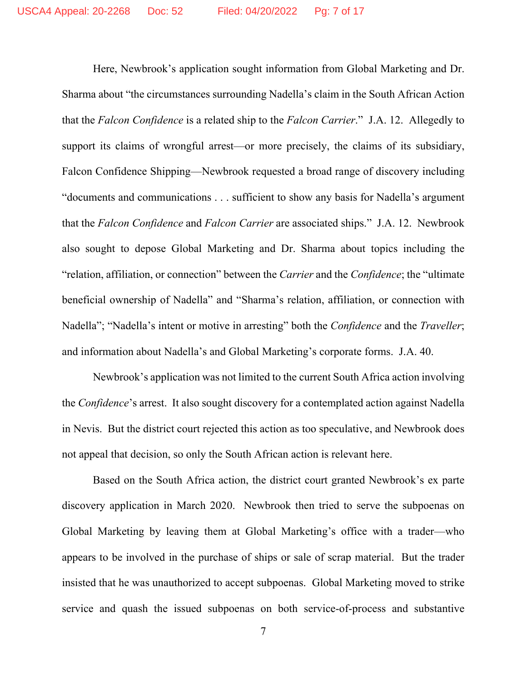Here, Newbrook's application sought information from Global Marketing and Dr. Sharma about "the circumstances surrounding Nadella's claim in the South African Action that the *Falcon Confidence* is a related ship to the *Falcon Carrier*." J.A. 12. Allegedly to support its claims of wrongful arrest—or more precisely, the claims of its subsidiary, Falcon Confidence Shipping—Newbrook requested a broad range of discovery including "documents and communications . . . sufficient to show any basis for Nadella's argument that the *Falcon Confidence* and *Falcon Carrier* are associated ships." J.A. 12. Newbrook also sought to depose Global Marketing and Dr. Sharma about topics including the "relation, affiliation, or connection" between the *Carrier* and the *Confidence*; the "ultimate beneficial ownership of Nadella" and "Sharma's relation, affiliation, or connection with Nadella"; "Nadella's intent or motive in arresting" both the *Confidence* and the *Traveller*; and information about Nadella's and Global Marketing's corporate forms. J.A. 40.

Newbrook's application was not limited to the current South Africa action involving the *Confidence*'s arrest. It also sought discovery for a contemplated action against Nadella in Nevis. But the district court rejected this action as too speculative, and Newbrook does not appeal that decision, so only the South African action is relevant here.

Based on the South Africa action, the district court granted Newbrook's ex parte discovery application in March 2020. Newbrook then tried to serve the subpoenas on Global Marketing by leaving them at Global Marketing's office with a trader—who appears to be involved in the purchase of ships or sale of scrap material. But the trader insisted that he was unauthorized to accept subpoenas. Global Marketing moved to strike service and quash the issued subpoenas on both service-of-process and substantive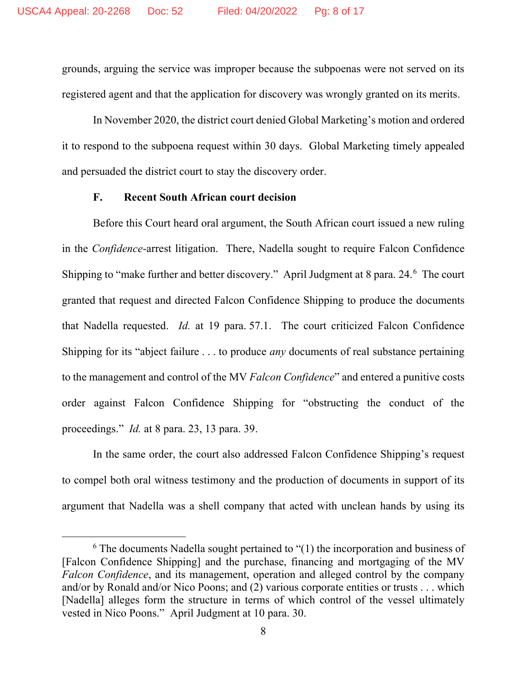grounds, arguing the service was improper because the subpoenas were not served on its registered agent and that the application for discovery was wrongly granted on its merits.

In November 2020, the district court denied Global Marketing's motion and ordered it to respond to the subpoena request within 30 days. Global Marketing timely appealed and persuaded the district court to stay the discovery order.

### **F. Recent South African court decision**

Before this Court heard oral argument, the South African court issued a new ruling in the *Confidence*-arrest litigation. There, Nadella sought to require Falcon Confidence Shipping to "make further and better discovery." April Judgment at 8 para. 24.<sup>[6](#page-7-0)</sup> The court granted that request and directed Falcon Confidence Shipping to produce the documents that Nadella requested. *Id.* at 19 para. 57.1. The court criticized Falcon Confidence Shipping for its "abject failure . . . to produce *any* documents of real substance pertaining to the management and control of the MV *Falcon Confidence*" and entered a punitive costs order against Falcon Confidence Shipping for "obstructing the conduct of the proceedings." *Id.* at 8 para. 23, 13 para. 39.

In the same order, the court also addressed Falcon Confidence Shipping's request to compel both oral witness testimony and the production of documents in support of its argument that Nadella was a shell company that acted with unclean hands by using its

<span id="page-7-0"></span> $6$  The documents Nadella sought pertained to  $(1)$  the incorporation and business of [Falcon Confidence Shipping] and the purchase, financing and mortgaging of the MV *Falcon Confidence*, and its management, operation and alleged control by the company and/or by Ronald and/or Nico Poons; and (2) various corporate entities or trusts . . . which [Nadella] alleges form the structure in terms of which control of the vessel ultimately vested in Nico Poons." April Judgment at 10 para. 30.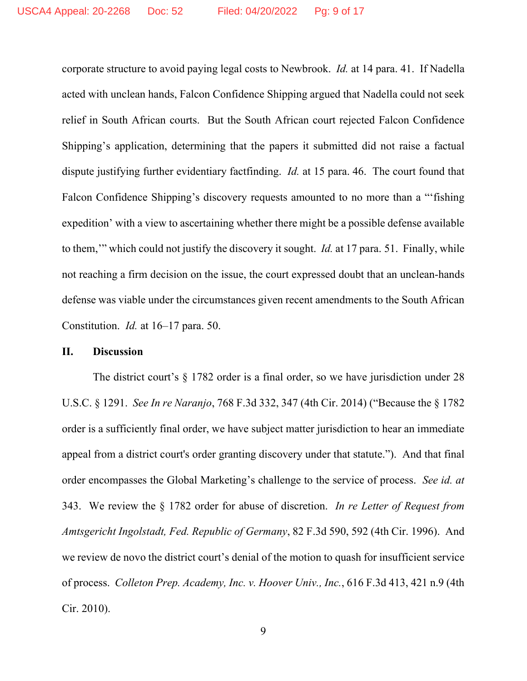corporate structure to avoid paying legal costs to Newbrook. *Id.* at 14 para. 41. If Nadella acted with unclean hands, Falcon Confidence Shipping argued that Nadella could not seek relief in South African courts. But the South African court rejected Falcon Confidence Shipping's application, determining that the papers it submitted did not raise a factual dispute justifying further evidentiary factfinding. *Id.* at 15 para. 46. The court found that Falcon Confidence Shipping's discovery requests amounted to no more than a "'fishing expedition' with a view to ascertaining whether there might be a possible defense available to them,'" which could not justify the discovery it sought. *Id.* at 17 para. 51. Finally, while not reaching a firm decision on the issue, the court expressed doubt that an unclean-hands defense was viable under the circumstances given recent amendments to the South African Constitution. *Id.* at 16–17 para. 50.

## **II. Discussion**

The district court's § 1782 order is a final order, so we have jurisdiction under 28 U.S.C. § 1291. *See In re Naranjo*, 768 F.3d 332, 347 (4th Cir. 2014) ("Because the § 1782 order is a sufficiently final order, we have subject matter jurisdiction to hear an immediate appeal from a district court's order granting discovery under that statute."). And that final order encompasses the Global Marketing's challenge to the service of process. *See id. at* 343. We review the § 1782 order for abuse of discretion. *In re Letter of Request from Amtsgericht Ingolstadt, Fed. Republic of Germany*, 82 F.3d 590, 592 (4th Cir. 1996). And we review de novo the district court's denial of the motion to quash for insufficient service of process. *Colleton Prep. Academy, Inc. v. Hoover Univ., Inc.*, 616 F.3d 413, 421 n.9 (4th Cir. 2010).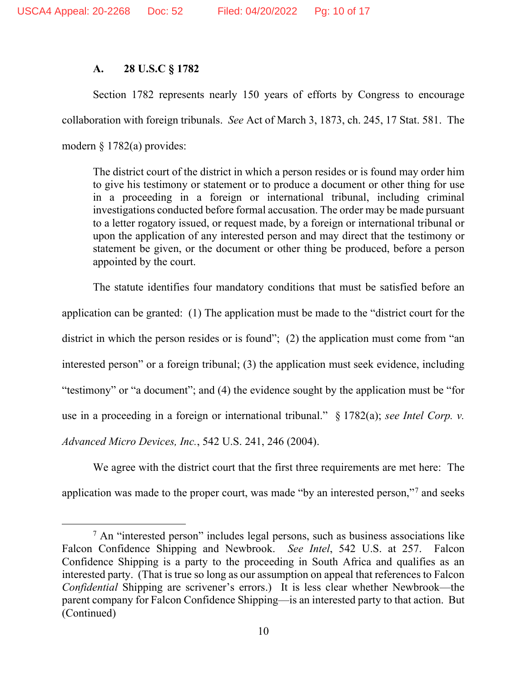# **A. 28 U.S.C § 1782**

Section 1782 represents nearly 150 years of efforts by Congress to encourage collaboration with foreign tribunals. *See* Act of March 3, 1873, ch. 245, 17 Stat. 581. The modern § 1782(a) provides:

The district court of the district in which a person resides or is found may order him to give his testimony or statement or to produce a document or other thing for use in a proceeding in a foreign or international tribunal, including criminal investigations conducted before formal accusation. The order may be made pursuant to a letter rogatory issued, or request made, by a foreign or international tribunal or upon the application of any interested person and may direct that the testimony or statement be given, or the document or other thing be produced, before a person appointed by the court.

The statute identifies four mandatory conditions that must be satisfied before an application can be granted: (1) The application must be made to the "district court for the district in which the person resides or is found"; (2) the application must come from "an interested person" or a foreign tribunal; (3) the application must seek evidence, including "testimony" or "a document"; and (4) the evidence sought by the application must be "for use in a proceeding in a foreign or international tribunal." § 1782(a); *see Intel Corp. v. Advanced Micro Devices, Inc.*, 542 U.S. 241, 246 (2004).

We agree with the district court that the first three requirements are met here: The application was made to the proper court, was made "by an interested person,"[7](#page-9-0) and seeks

<span id="page-9-0"></span> $<sup>7</sup>$  An "interested person" includes legal persons, such as business associations like</sup> Falcon Confidence Shipping and Newbrook. *See Intel*, 542 U.S. at 257. Falcon Confidence Shipping is a party to the proceeding in South Africa and qualifies as an interested party. (That is true so long as our assumption on appeal that references to Falcon *Confidential* Shipping are scrivener's errors.) It is less clear whether Newbrook—the parent company for Falcon Confidence Shipping—is an interested party to that action. But (Continued)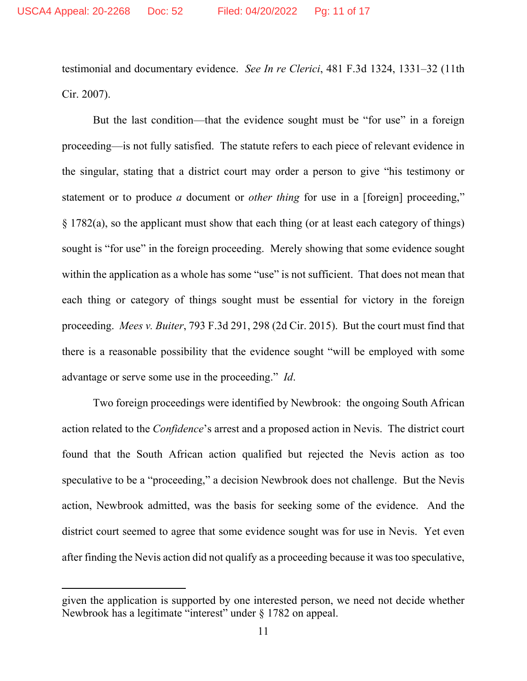testimonial and documentary evidence. *See In re Clerici*, 481 F.3d 1324, 1331–32 (11th Cir. 2007).

But the last condition—that the evidence sought must be "for use" in a foreign proceeding—is not fully satisfied. The statute refers to each piece of relevant evidence in the singular, stating that a district court may order a person to give "his testimony or statement or to produce *a* document or *other thing* for use in a [foreign] proceeding," § 1782(a), so the applicant must show that each thing (or at least each category of things) sought is "for use" in the foreign proceeding. Merely showing that some evidence sought within the application as a whole has some "use" is not sufficient. That does not mean that each thing or category of things sought must be essential for victory in the foreign proceeding. *Mees v. Buiter*, 793 F.3d 291, 298 (2d Cir. 2015). But the court must find that there is a reasonable possibility that the evidence sought "will be employed with some advantage or serve some use in the proceeding." *Id*.

Two foreign proceedings were identified by Newbrook: the ongoing South African action related to the *Confidence*'s arrest and a proposed action in Nevis. The district court found that the South African action qualified but rejected the Nevis action as too speculative to be a "proceeding," a decision Newbrook does not challenge. But the Nevis action, Newbrook admitted, was the basis for seeking some of the evidence. And the district court seemed to agree that some evidence sought was for use in Nevis. Yet even after finding the Nevis action did not qualify as a proceeding because it was too speculative,

given the application is supported by one interested person, we need not decide whether Newbrook has a legitimate "interest" under § 1782 on appeal.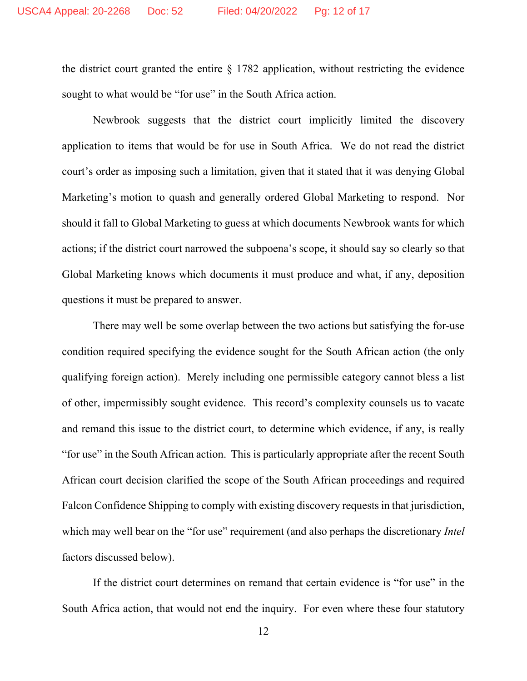the district court granted the entire § 1782 application, without restricting the evidence sought to what would be "for use" in the South Africa action.

Newbrook suggests that the district court implicitly limited the discovery application to items that would be for use in South Africa. We do not read the district court's order as imposing such a limitation, given that it stated that it was denying Global Marketing's motion to quash and generally ordered Global Marketing to respond. Nor should it fall to Global Marketing to guess at which documents Newbrook wants for which actions; if the district court narrowed the subpoena's scope, it should say so clearly so that Global Marketing knows which documents it must produce and what, if any, deposition questions it must be prepared to answer.

There may well be some overlap between the two actions but satisfying the for-use condition required specifying the evidence sought for the South African action (the only qualifying foreign action). Merely including one permissible category cannot bless a list of other, impermissibly sought evidence. This record's complexity counsels us to vacate and remand this issue to the district court, to determine which evidence, if any, is really "for use" in the South African action. This is particularly appropriate after the recent South African court decision clarified the scope of the South African proceedings and required Falcon Confidence Shipping to comply with existing discovery requests in that jurisdiction, which may well bear on the "for use" requirement (and also perhaps the discretionary *Intel* factors discussed below).

If the district court determines on remand that certain evidence is "for use" in the South Africa action, that would not end the inquiry. For even where these four statutory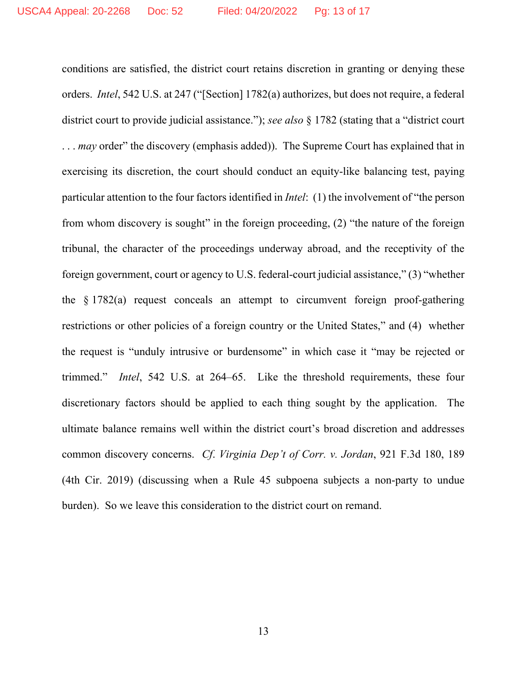conditions are satisfied, the district court retains discretion in granting or denying these orders. *Intel*, 542 U.S. at 247 ("[Section] 1782(a) authorizes, but does not require, a federal district court to provide judicial assistance."); *see also* § 1782 (stating that a "district court ... *may* order" the discovery (emphasis added)). The Supreme Court has explained that in exercising its discretion, the court should conduct an equity-like balancing test, paying particular attention to the four factors identified in *Intel*: (1) the involvement of "the person from whom discovery is sought" in the foreign proceeding, (2) "the nature of the foreign tribunal, the character of the proceedings underway abroad, and the receptivity of the foreign government, court or agency to U.S. federal-court judicial assistance," (3) "whether the  $\S 1782(a)$  request conceals an attempt to circumvent foreign proof-gathering restrictions or other policies of a foreign country or the United States," and (4) whether the request is "unduly intrusive or burdensome" in which case it "may be rejected or trimmed." *Intel*, 542 U.S. at 264–65. Like the threshold requirements, these four discretionary factors should be applied to each thing sought by the application. The ultimate balance remains well within the district court's broad discretion and addresses common discovery concerns. *Cf*. *Virginia Dep't of Corr. v. Jordan*, 921 F.3d 180, 189 (4th Cir. 2019) (discussing when a Rule 45 subpoena subjects a non-party to undue burden). So we leave this consideration to the district court on remand.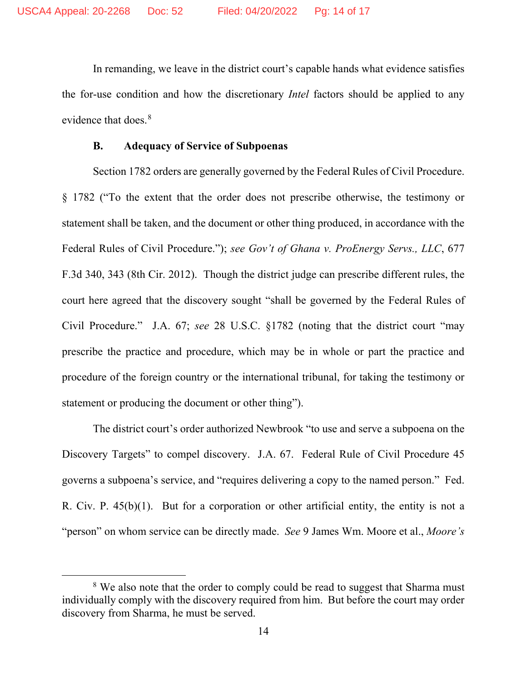In remanding, we leave in the district court's capable hands what evidence satisfies the for-use condition and how the discretionary *Intel* factors should be applied to any evidence that does.<sup>[8](#page-13-0)</sup>

#### **B. Adequacy of Service of Subpoenas**

Section 1782 orders are generally governed by the Federal Rules of Civil Procedure. § 1782 ("To the extent that the order does not prescribe otherwise, the testimony or statement shall be taken, and the document or other thing produced, in accordance with the Federal Rules of Civil Procedure."); *see Gov't of Ghana v. ProEnergy Servs., LLC*, 677 F.3d 340, 343 (8th Cir. 2012). Though the district judge can prescribe different rules, the court here agreed that the discovery sought "shall be governed by the Federal Rules of Civil Procedure." J.A. 67; *see* 28 U.S.C. §1782 (noting that the district court "may prescribe the practice and procedure, which may be in whole or part the practice and procedure of the foreign country or the international tribunal, for taking the testimony or statement or producing the document or other thing").

The district court's order authorized Newbrook "to use and serve a subpoena on the Discovery Targets" to compel discovery. J.A. 67. Federal Rule of Civil Procedure 45 governs a subpoena's service, and "requires delivering a copy to the named person." Fed. R. Civ. P. 45(b)(1). But for a corporation or other artificial entity, the entity is not a "person" on whom service can be directly made. *See* 9 James Wm. Moore et al., *Moore's* 

<span id="page-13-0"></span><sup>&</sup>lt;sup>8</sup> We also note that the order to comply could be read to suggest that Sharma must individually comply with the discovery required from him. But before the court may order discovery from Sharma, he must be served.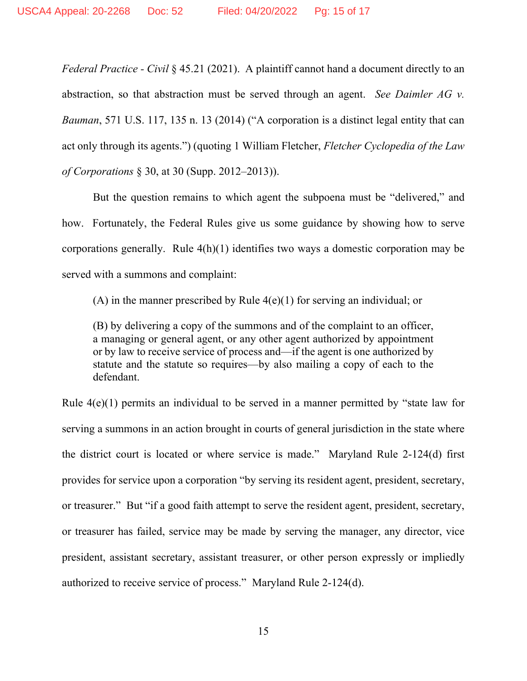*Federal Practice - Civil* § 45.21 (2021). A plaintiff cannot hand a document directly to an abstraction, so that abstraction must be served through an agent. *See Daimler AG v. Bauman*, 571 U.S. 117, 135 n. 13 (2014) ("A corporation is a distinct legal entity that can act only through its agents.") (quoting 1 William Fletcher, *Fletcher Cyclopedia of the Law of Corporations* § 30, at 30 (Supp. 2012–2013)).

But the question remains to which agent the subpoena must be "delivered," and how. Fortunately, the Federal Rules give us some guidance by showing how to serve corporations generally. Rule 4(h)(1) identifies two ways a domestic corporation may be served with a summons and complaint:

(A) in the manner prescribed by Rule  $4(e)(1)$  for serving an individual; or

(B) by delivering a copy of the summons and of the complaint to an officer, a managing or general agent, or any other agent authorized by appointment or by law to receive service of process and—if the agent is one authorized by statute and the statute so requires—by also mailing a copy of each to the defendant.

Rule 4(e)(1) permits an individual to be served in a manner permitted by "state law for serving a summons in an action brought in courts of general jurisdiction in the state where the district court is located or where service is made." Maryland Rule 2-124(d) first provides for service upon a corporation "by serving its resident agent, president, secretary, or treasurer." But "if a good faith attempt to serve the resident agent, president, secretary, or treasurer has failed, service may be made by serving the manager, any director, vice president, assistant secretary, assistant treasurer, or other person expressly or impliedly authorized to receive service of process." Maryland Rule 2-124(d).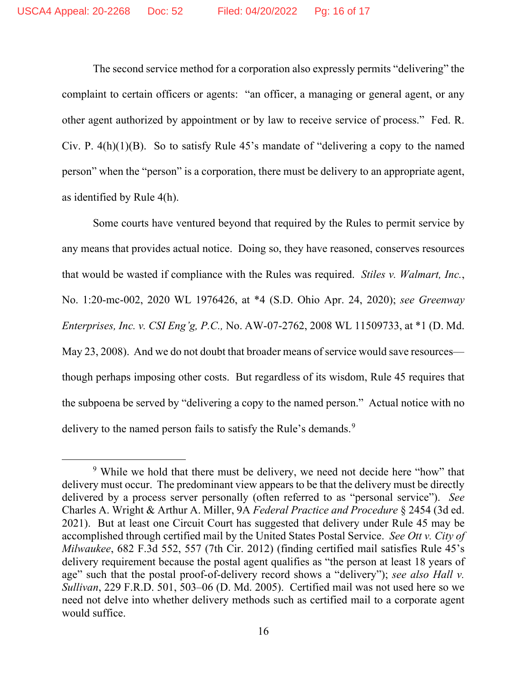The second service method for a corporation also expressly permits "delivering" the complaint to certain officers or agents: "an officer, a managing or general agent, or any other agent authorized by appointment or by law to receive service of process." Fed. R. Civ. P. 4(h)(1)(B). So to satisfy Rule 45's mandate of "delivering a copy to the named person" when the "person" is a corporation, there must be delivery to an appropriate agent, as identified by Rule 4(h).

Some courts have ventured beyond that required by the Rules to permit service by any means that provides actual notice. Doing so, they have reasoned, conserves resources that would be wasted if compliance with the Rules was required. *Stiles v. Walmart, Inc.*, No. 1:20-mc-002, 2020 WL 1976426, at \*4 (S.D. Ohio Apr. 24, 2020); *see Greenway Enterprises, Inc. v. CSI Eng'g, P.C.,* No. AW-07-2762, 2008 WL 11509733, at \*1 (D. Md. May 23, 2008). And we do not doubt that broader means of service would save resources though perhaps imposing other costs. But regardless of its wisdom, Rule 45 requires that the subpoena be served by "delivering a copy to the named person." Actual notice with no delivery to the named person fails to satisfy the Rule's demands.<sup>[9](#page-15-0)</sup>

<span id="page-15-0"></span><sup>&</sup>lt;sup>9</sup> While we hold that there must be delivery, we need not decide here "how" that delivery must occur. The predominant view appears to be that the delivery must be directly delivered by a process server personally (often referred to as "personal service"). *See*  Charles A. Wright & Arthur A. Miller, 9A *Federal Practice and Procedure* § 2454 (3d ed. 2021). But at least one Circuit Court has suggested that delivery under Rule 45 may be accomplished through certified mail by the United States Postal Service. *See Ott v. City of Milwaukee*, 682 F.3d 552, 557 (7th Cir. 2012) (finding certified mail satisfies Rule 45's delivery requirement because the postal agent qualifies as "the person at least 18 years of age" such that the postal proof-of-delivery record shows a "delivery"); *see also Hall v. Sullivan*, 229 F.R.D. 501, 503–06 (D. Md. 2005). Certified mail was not used here so we need not delve into whether delivery methods such as certified mail to a corporate agent would suffice.